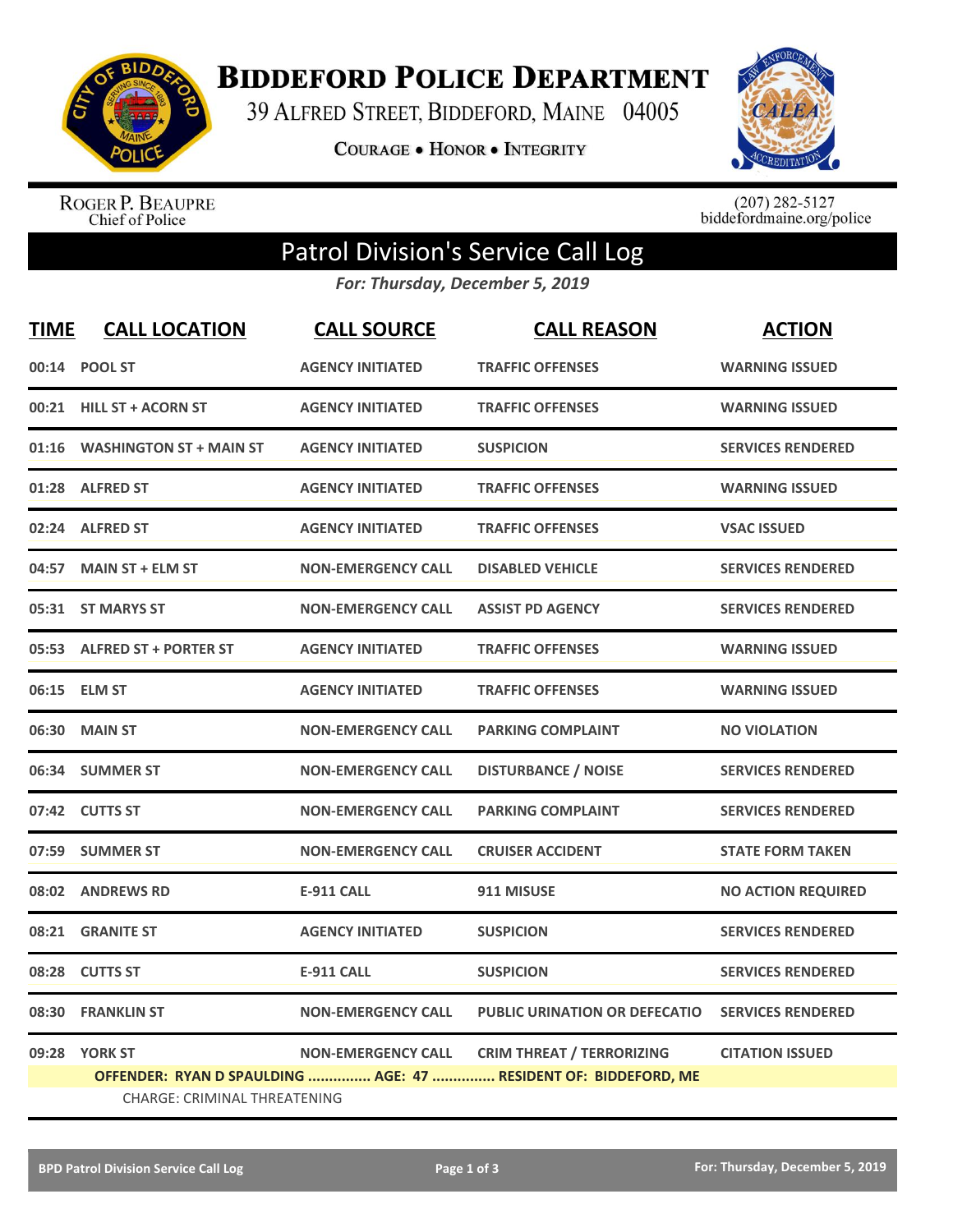

**BIDDEFORD POLICE DEPARTMENT** 

39 ALFRED STREET, BIDDEFORD, MAINE 04005

**COURAGE . HONOR . INTEGRITY** 



ROGER P. BEAUPRE<br>Chief of Police

 $(207)$  282-5127<br>biddefordmaine.org/police

## Patrol Division's Service Call Log

*For: Thursday, December 5, 2019*

| <b>TIME</b> | <b>CALL LOCATION</b>           | <b>CALL SOURCE</b>        | <b>CALL REASON</b>                                              | <b>ACTION</b>             |  |  |
|-------------|--------------------------------|---------------------------|-----------------------------------------------------------------|---------------------------|--|--|
|             | 00:14 POOL ST                  | <b>AGENCY INITIATED</b>   | <b>TRAFFIC OFFENSES</b>                                         | <b>WARNING ISSUED</b>     |  |  |
|             | 00:21 HILL ST + ACORN ST       | <b>AGENCY INITIATED</b>   | <b>TRAFFIC OFFENSES</b>                                         | <b>WARNING ISSUED</b>     |  |  |
| 01:16       | <b>WASHINGTON ST + MAIN ST</b> | <b>AGENCY INITIATED</b>   | <b>SUSPICION</b>                                                | <b>SERVICES RENDERED</b>  |  |  |
|             | 01:28 ALFRED ST                | <b>AGENCY INITIATED</b>   | <b>TRAFFIC OFFENSES</b>                                         | <b>WARNING ISSUED</b>     |  |  |
| 02:24       | <b>ALFRED ST</b>               | <b>AGENCY INITIATED</b>   | <b>TRAFFIC OFFENSES</b>                                         | <b>VSAC ISSUED</b>        |  |  |
| 04:57       | <b>MAIN ST + ELM ST</b>        | <b>NON-EMERGENCY CALL</b> | <b>DISABLED VEHICLE</b>                                         | <b>SERVICES RENDERED</b>  |  |  |
|             | 05:31 ST MARYS ST              | <b>NON-EMERGENCY CALL</b> | <b>ASSIST PD AGENCY</b>                                         | <b>SERVICES RENDERED</b>  |  |  |
|             | 05:53 ALFRED ST + PORTER ST    | <b>AGENCY INITIATED</b>   | <b>TRAFFIC OFFENSES</b>                                         | <b>WARNING ISSUED</b>     |  |  |
|             | 06:15 ELM ST                   | <b>AGENCY INITIATED</b>   | <b>TRAFFIC OFFENSES</b>                                         | <b>WARNING ISSUED</b>     |  |  |
| 06:30       | <b>MAIN ST</b>                 | <b>NON-EMERGENCY CALL</b> | <b>PARKING COMPLAINT</b>                                        | <b>NO VIOLATION</b>       |  |  |
|             | 06:34 SUMMER ST                | <b>NON-EMERGENCY CALL</b> | <b>DISTURBANCE / NOISE</b>                                      | <b>SERVICES RENDERED</b>  |  |  |
|             | 07:42 CUTTS ST                 | <b>NON-EMERGENCY CALL</b> | <b>PARKING COMPLAINT</b>                                        | <b>SERVICES RENDERED</b>  |  |  |
|             | 07:59 SUMMER ST                | <b>NON-EMERGENCY CALL</b> | <b>CRUISER ACCIDENT</b>                                         | <b>STATE FORM TAKEN</b>   |  |  |
|             | 08:02 ANDREWS RD               | <b>E-911 CALL</b>         | 911 MISUSE                                                      | <b>NO ACTION REQUIRED</b> |  |  |
| 08:21       | <b>GRANITE ST</b>              | <b>AGENCY INITIATED</b>   | <b>SUSPICION</b>                                                | <b>SERVICES RENDERED</b>  |  |  |
| 08:28       | <b>CUTTS ST</b>                | <b>E-911 CALL</b>         | <b>SUSPICION</b>                                                | <b>SERVICES RENDERED</b>  |  |  |
| 08:30       | <b>FRANKLIN ST</b>             | <b>NON-EMERGENCY CALL</b> | <b>PUBLIC URINATION OR DEFECATIO</b>                            | <b>SERVICES RENDERED</b>  |  |  |
|             | 09:28 YORK ST                  | <b>NON-EMERGENCY CALL</b> | <b>CRIM THREAT / TERRORIZING</b>                                | <b>CITATION ISSUED</b>    |  |  |
|             |                                |                           | OFFENDER: RYAN D SPAULDING  AGE: 47  RESIDENT OF: BIDDEFORD, ME |                           |  |  |
|             | CHARGE: CRIMINAL THREATENING   |                           |                                                                 |                           |  |  |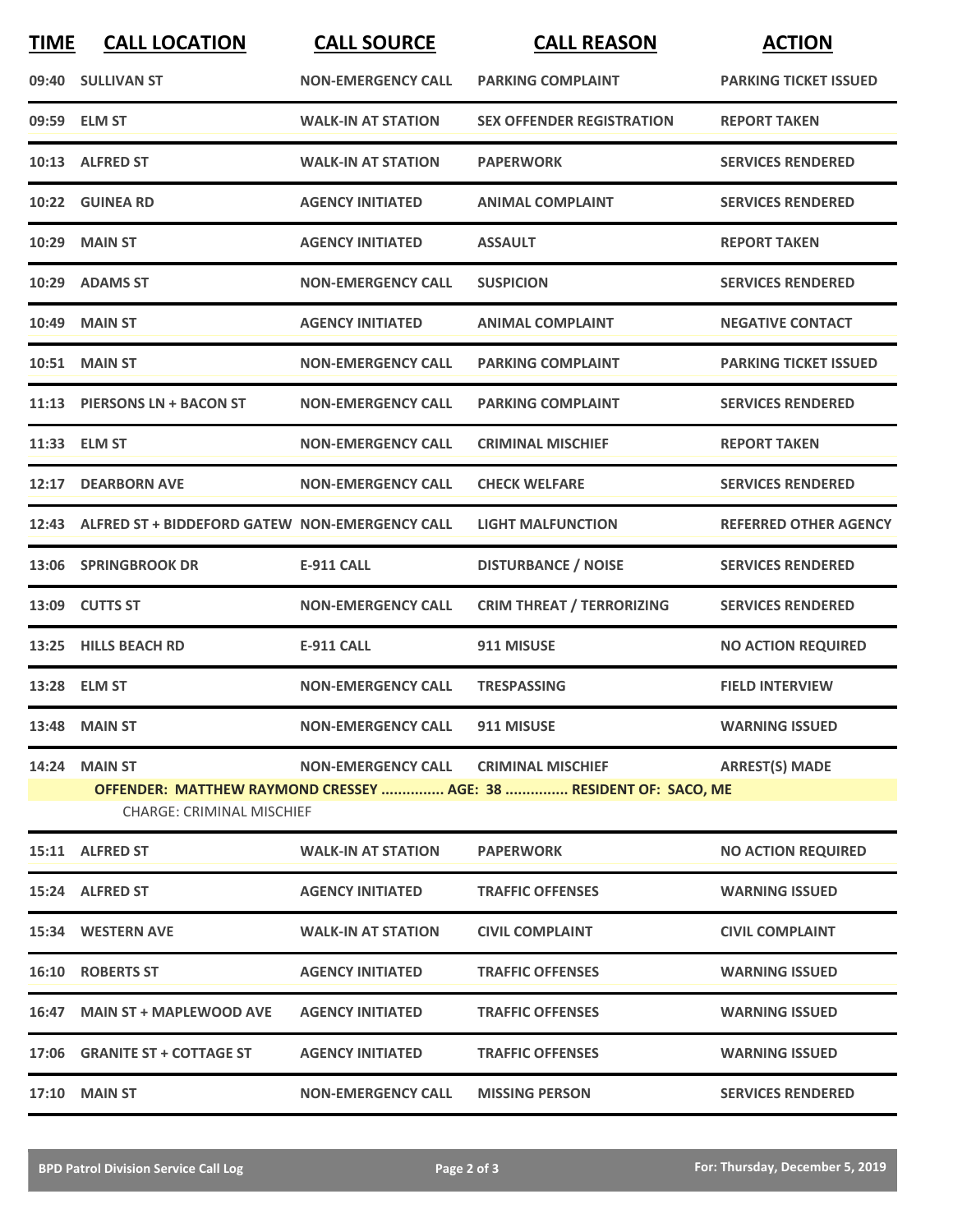| <b>TIME</b> | <b>CALL LOCATION</b>                                                                                  | <b>CALL SOURCE</b>        | <b>CALL REASON</b>                   | <b>ACTION</b>                |  |
|-------------|-------------------------------------------------------------------------------------------------------|---------------------------|--------------------------------------|------------------------------|--|
|             | 09:40 SULLIVAN ST                                                                                     | <b>NON-EMERGENCY CALL</b> | <b>PARKING COMPLAINT</b>             | <b>PARKING TICKET ISSUED</b> |  |
|             | 09:59 ELM ST                                                                                          | <b>WALK-IN AT STATION</b> | <b>SEX OFFENDER REGISTRATION</b>     | <b>REPORT TAKEN</b>          |  |
|             | 10:13 ALFRED ST                                                                                       | <b>WALK-IN AT STATION</b> | <b>PAPERWORK</b>                     | <b>SERVICES RENDERED</b>     |  |
|             | 10:22 GUINEA RD                                                                                       | <b>AGENCY INITIATED</b>   | <b>ANIMAL COMPLAINT</b>              | <b>SERVICES RENDERED</b>     |  |
|             | <b>10:29 MAIN ST</b>                                                                                  | <b>AGENCY INITIATED</b>   | <b>ASSAULT</b>                       | <b>REPORT TAKEN</b>          |  |
|             | 10:29 ADAMS ST                                                                                        | <b>NON-EMERGENCY CALL</b> | <b>SUSPICION</b>                     | <b>SERVICES RENDERED</b>     |  |
| 10:49       | <b>MAIN ST</b>                                                                                        | <b>AGENCY INITIATED</b>   | <b>ANIMAL COMPLAINT</b>              | <b>NEGATIVE CONTACT</b>      |  |
| 10:51       | <b>MAIN ST</b>                                                                                        | <b>NON-EMERGENCY CALL</b> | <b>PARKING COMPLAINT</b>             | <b>PARKING TICKET ISSUED</b> |  |
|             | 11:13 PIERSONS LN + BACON ST                                                                          | <b>NON-EMERGENCY CALL</b> | <b>PARKING COMPLAINT</b>             | <b>SERVICES RENDERED</b>     |  |
|             | 11:33 ELM ST                                                                                          | <b>NON-EMERGENCY CALL</b> | <b>CRIMINAL MISCHIEF</b>             | <b>REPORT TAKEN</b>          |  |
| 12:17       | <b>DEARBORN AVE</b>                                                                                   | <b>NON-EMERGENCY CALL</b> | <b>CHECK WELFARE</b>                 | <b>SERVICES RENDERED</b>     |  |
|             | 12:43 ALFRED ST + BIDDEFORD GATEW NON-EMERGENCY CALL                                                  |                           | <b>LIGHT MALFUNCTION</b>             | <b>REFERRED OTHER AGENCY</b> |  |
|             | 13:06 SPRINGBROOK DR                                                                                  | <b>E-911 CALL</b>         | <b>DISTURBANCE / NOISE</b>           | <b>SERVICES RENDERED</b>     |  |
| 13:09       | <b>CUTTS ST</b>                                                                                       | <b>NON-EMERGENCY CALL</b> | <b>CRIM THREAT / TERRORIZING</b>     | <b>SERVICES RENDERED</b>     |  |
|             | 13:25 HILLS BEACH RD                                                                                  | <b>E-911 CALL</b>         | 911 MISUSE                           | <b>NO ACTION REQUIRED</b>    |  |
|             | 13:28 ELM ST                                                                                          | <b>NON-EMERGENCY CALL</b> | <b>TRESPASSING</b>                   | <b>FIELD INTERVIEW</b>       |  |
|             | 13:48 MAIN ST                                                                                         | <b>NON-EMERGENCY CALL</b> | 911 MISUSE                           | <b>WARNING ISSUED</b>        |  |
|             | 14:24 MAIN ST                                                                                         |                           | NON-EMERGENCY CALL CRIMINAL MISCHIEF | <b>ARREST(S) MADE</b>        |  |
|             | OFFENDER: MATTHEW RAYMOND CRESSEY  AGE: 38  RESIDENT OF: SACO, ME<br><b>CHARGE: CRIMINAL MISCHIEF</b> |                           |                                      |                              |  |
|             | 15:11 ALFRED ST                                                                                       | <b>WALK-IN AT STATION</b> | <b>PAPERWORK</b>                     | <b>NO ACTION REQUIRED</b>    |  |
|             | 15:24 ALFRED ST                                                                                       | <b>AGENCY INITIATED</b>   | <b>TRAFFIC OFFENSES</b>              | <b>WARNING ISSUED</b>        |  |
|             | 15:34 WESTERN AVE                                                                                     | <b>WALK-IN AT STATION</b> | <b>CIVIL COMPLAINT</b>               | <b>CIVIL COMPLAINT</b>       |  |
|             | <b>16:10 ROBERTS ST</b>                                                                               | <b>AGENCY INITIATED</b>   | <b>TRAFFIC OFFENSES</b>              | <b>WARNING ISSUED</b>        |  |
|             | 16:47 MAIN ST + MAPLEWOOD AVE                                                                         | <b>AGENCY INITIATED</b>   | <b>TRAFFIC OFFENSES</b>              | <b>WARNING ISSUED</b>        |  |
|             | 17:06 GRANITE ST + COTTAGE ST                                                                         | <b>AGENCY INITIATED</b>   | <b>TRAFFIC OFFENSES</b>              | <b>WARNING ISSUED</b>        |  |
|             | <b>17:10 MAIN ST</b>                                                                                  | <b>NON-EMERGENCY CALL</b> | <b>MISSING PERSON</b>                | <b>SERVICES RENDERED</b>     |  |